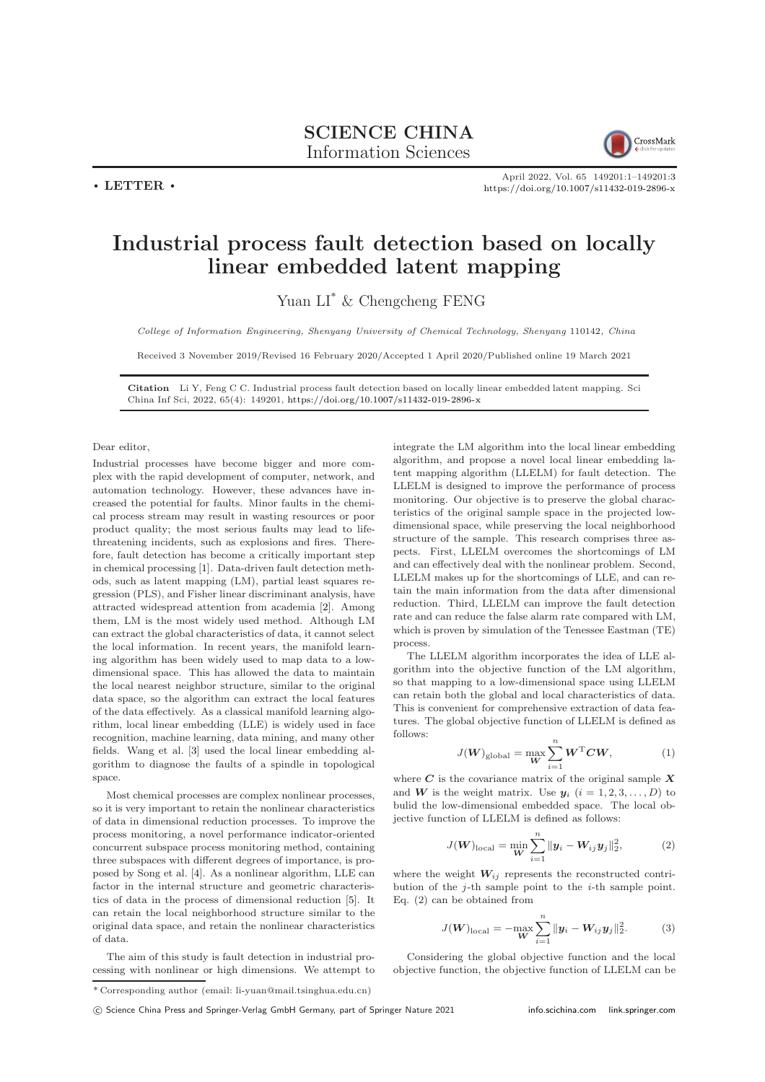$\cdot$  LETTER  $\cdot$ 



April 2022, Vol. 65 149201:1–149201[:3](#page-2-0) <https://doi.org/10.1007/s11432-019-2896-x>

## Industrial process fault detection based on locally linear embedded latent mapping

Yuan LI\* & Chengcheng FENG

College of Information Engineering, Shenyang University of Chemical Technology, Shenyang 110142, China

Received 3 November 2019/Revised 16 February 2020/Accepted 1 April 2020/Published online 19 March 2021

Citation Li Y, Feng C C. Industrial process fault detection based on locally linear embedded latent mapping. Sci China Inf Sci, 2022, 65(4): 149201, <https://doi.org/10.1007/s11432-019-2896-x>

Dear editor,

Industrial processes have become bigger and more complex with the rapid development of computer, network, and automation technology. However, these advances have increased the potential for faults. Minor faults in the chemical process stream may result in wasting resources or poor product quality; the most serious faults may lead to lifethreatening incidents, such as explosions and fires. Therefore, fault detection has become a critically important step in chemical processing [\[1\]](#page-2-1). Data-driven fault detection methods, such as latent mapping (LM), partial least squares regression (PLS), and Fisher linear discriminant analysis, have attracted widespread attention from academia [\[2\]](#page-2-2). Among them, LM is the most widely used method. Although LM can extract the global characteristics of data, it cannot select the local information. In recent years, the manifold learning algorithm has been widely used to map data to a lowdimensional space. This has allowed the data to maintain the local nearest neighbor structure, similar to the original data space, so the algorithm can extract the local features of the data effectively. As a classical manifold learning algorithm, local linear embedding (LLE) is widely used in face recognition, machine learning, data mining, and many other fields. Wang et al. [\[3\]](#page-2-3) used the local linear embedding algorithm to diagnose the faults of a spindle in topological space.

Most chemical processes are complex nonlinear processes, so it is very important to retain the nonlinear characteristics of data in dimensional reduction processes. To improve the process monitoring, a novel performance indicator-oriented concurrent subspace process monitoring method, containing three subspaces with different degrees of importance, is proposed by Song et al. [\[4\]](#page-2-4). As a nonlinear algorithm, LLE can factor in the internal structure and geometric characteristics of data in the process of dimensional reduction [\[5\]](#page-2-5). It can retain the local neighborhood structure similar to the original data space, and retain the nonlinear characteristics of data.

The aim of this study is fault detection in industrial processing with nonlinear or high dimensions. We attempt to integrate the LM algorithm into the local linear embedding algorithm, and propose a novel local linear embedding latent mapping algorithm (LLELM) for fault detection. The LLELM is designed to improve the performance of process monitoring. Our objective is to preserve the global characteristics of the original sample space in the projected lowdimensional space, while preserving the local neighborhood structure of the sample. This research comprises three aspects. First, LLELM overcomes the shortcomings of LM and can effectively deal with the nonlinear problem. Second, LLELM makes up for the shortcomings of LLE, and can retain the main information from the data after dimensional reduction. Third, LLELM can improve the fault detection rate and can reduce the false alarm rate compared with LM, which is proven by simulation of the Tenessee Eastman (TE) process.

The LLELM algorithm incorporates the idea of LLE algorithm into the objective function of the LM algorithm, so that mapping to a low-dimensional space using LLELM can retain both the global and local characteristics of data. This is convenient for comprehensive extraction of data features. The global objective function of LLELM is defined as follows:

$$
J(W)_{\text{global}} = \max_{\mathbf{W}} \sum_{i=1}^{n} \mathbf{W}^{\text{T}} \mathbf{C} \mathbf{W}, \tag{1}
$$

where  $C$  is the covariance matrix of the original sample  $X$ and W is the weight matrix. Use  $y_i$   $(i = 1, 2, 3, \ldots, D)$  to bulid the low-dimensional embedded space. The local objective function of LLELM is defined as follows:

$$
J(\boldsymbol{W})_{\text{local}} = \min_{\boldsymbol{W}} \sum_{i=1}^{n} ||\boldsymbol{y}_{i} - \boldsymbol{W}_{ij}\boldsymbol{y}_{j}||_{2}^{2},
$$
 (2)

where the weight  $W_{ij}$  represents the reconstructed contribution of the  $j$ -th sample point to the  $i$ -th sample point. Eq. (2) can be obtained from

$$
J(\boldsymbol{W})_{\text{local}} = -\max_{\boldsymbol{W}} \sum_{i=1}^{n} ||\boldsymbol{y}_i - \boldsymbol{W}_{ij}\boldsymbol{y}_j||_2^2.
$$
 (3)

Considering the global objective function and the local objective function, the objective function of LLELM can be

<sup>\*</sup> Corresponding author (email: li-yuan@mail.tsinghua.edu.cn)

c Science China Press and Springer-Verlag GmbH Germany, part of Springer Nature 2021 <info.scichina.com><link.springer.com>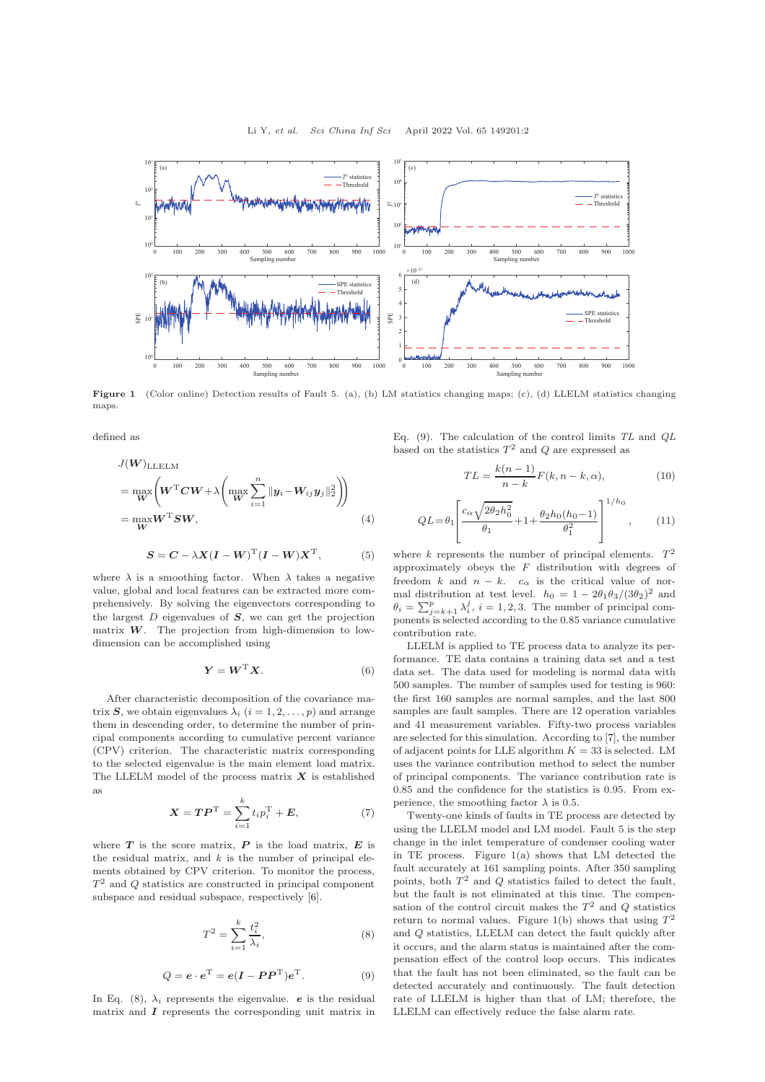

Figure 1 (Color online) Detection results of Fault 5. (a), (b) LM statistics changing maps; (c), (d) LLELM statistics changing maps.

defined as

$$
J(\boldsymbol{W})_{\text{LLELM}} = \max_{\boldsymbol{W}} \left( \boldsymbol{W}^{\text{T}} \boldsymbol{C} \boldsymbol{W} + \lambda \left( \max_{\boldsymbol{W}} \sum_{i=1}^{n} \|\boldsymbol{y}_{i} - \boldsymbol{W}_{ij} \boldsymbol{y}_{j}\|_{2}^{2} \right) \right) = \max_{\boldsymbol{W}} \boldsymbol{W}^{\text{T}} \boldsymbol{S} \boldsymbol{W},
$$
(4)

$$
S = C - \lambda X (I - W)^{\mathrm{T}} (I - W) X^{\mathrm{T}}, \tag{5}
$$

where  $\lambda$  is a smoothing factor. When  $\lambda$  takes a negative value, global and local features can be extracted more comprehensively. By solving the eigenvectors corresponding to the largest  $D$  eigenvalues of  $S$ , we can get the projection matrix  $W$ . The projection from high-dimension to lowdimension can be accomplished using

$$
\boldsymbol{Y} = \boldsymbol{W}^{\mathrm{T}} \boldsymbol{X}.
$$
 (6)

After characteristic decomposition of the covariance matrix S, we obtain eigenvalues  $\lambda_i$   $(i = 1, 2, \ldots, p)$  and arrange them in descending order, to determine the number of principal components according to cumulative percent variance (CPV) criterion. The characteristic matrix corresponding to the selected eigenvalue is the main element load matrix. The LLELM model of the process matrix  $X$  is established as

$$
X = TP^{T} = \sum_{i=1}^{k} t_i p_i^{T} + E,
$$
 (7)

where  $T$  is the score matrix,  $P$  is the load matrix,  $E$  is the residual matrix, and  $k$  is the number of principal elements obtained by CPV criterion. To monitor the process,  $T<sup>2</sup>$  and Q statistics are constructed in principal component subspace and residual subspace, respectively [\[6\]](#page-2-6).

$$
T^2 = \sum_{i=1}^k \frac{t_i^2}{\lambda_i},\tag{8}
$$

$$
Q = \mathbf{e} \cdot \mathbf{e}^{\mathrm{T}} = \mathbf{e}(\mathbf{I} - \mathbf{P}\mathbf{P}^{\mathrm{T}})\mathbf{e}^{\mathrm{T}}.
$$
 (9)

In Eq. (8),  $\lambda_i$  represents the eigenvalue. *e* is the residual matrix and  $I$  represents the corresponding unit matrix in Eq. (9). The calculation of the control limits  $TL$  and  $QL$ based on the statistics  $T^2$  and Q are expressed as

$$
TL = \frac{k(n-1)}{n-k}F(k, n-k, \alpha),\tag{10}
$$

$$
QL = \theta_1 \left[ \frac{c_{\alpha} \sqrt{2\theta_2 h_0^2}}{\theta_1} + 1 + \frac{\theta_2 h_0 (h_0 - 1)}{\theta_1^2} \right]^{1/h_0}, \quad (11)
$$

where k represents the number of principal elements.  $T^2$ approximately obeys the  $F$  distribution with degrees of freedom k and  $n - k$ .  $c_{\alpha}$  is the critical value of normal distribution at test level.  $h_0 = 1 - 2\theta_1\theta_3/(3\theta_2)^2$  and  $\theta_i = \sum_{j=k+1}^p \lambda_i^j$ ,  $i = 1, 2, 3$ . The number of principal components is selected according to the 0.85 variance cumulative contribution rate.

LLELM is applied to TE process data to analyze its performance. TE data contains a training data set and a test data set. The data used for modeling is normal data with 500 samples. The number of samples used for testing is 960: the first 160 samples are normal samples, and the last 800 samples are fault samples. There are 12 operation variables and 41 measurement variables. Fifty-two process variables are selected for this simulation. According to [\[7\]](#page-2-7), the number of adjacent points for LLE algorithm  $K = 33$  is selected. LM uses the variance contribution method to select the number of principal components. The variance contribution rate is 0.85 and the confidence for the statistics is 0.95. From experience, the smoothing factor  $\lambda$  is 0.5.

Twenty-one kinds of faults in TE process are detected by using the LLELM model and LM model. Fault 5 is the step change in the inlet temperature of condenser cooling water in TE process. Figure 1(a) shows that LM detected the fault accurately at 161 sampling points. After 350 sampling points, both  $T^2$  and  $Q$  statistics failed to detect the fault, but the fault is not eliminated at this time. The compensation of the control circuit makes the  $T^2$  and Q statistics return to normal values. Figure 1(b) shows that using  $T^2$ and Q statistics, LLELM can detect the fault quickly after it occurs, and the alarm status is maintained after the compensation effect of the control loop occurs. This indicates that the fault has not been eliminated, so the fault can be detected accurately and continuously. The fault detection rate of LLELM is higher than that of LM; therefore, the LLELM can effectively reduce the false alarm rate.